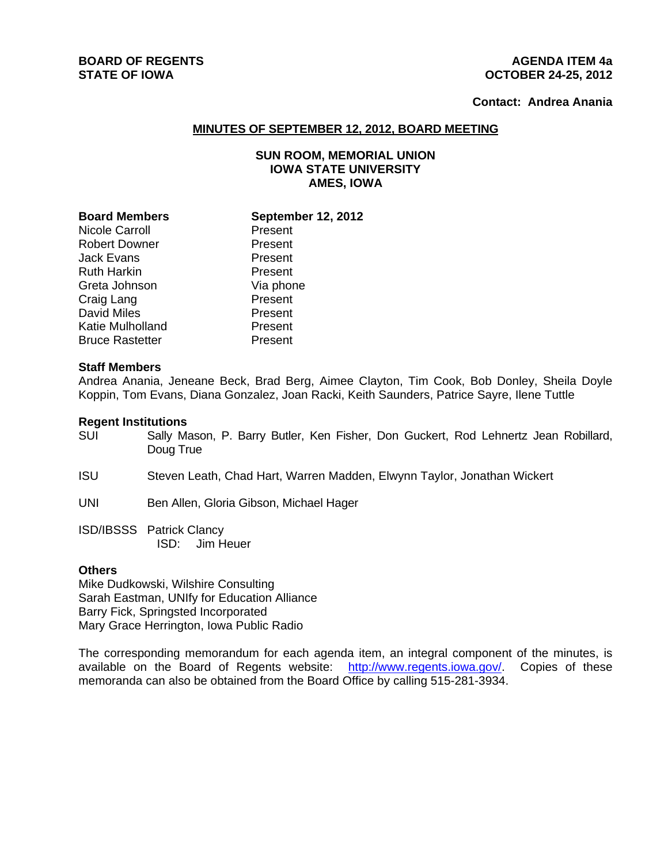#### **BOARD OF REGENTS AGENUS AGENDA ITEM 4a STATE OF IOWA OCTOBER 24-25, 2012**

## **Contact: Andrea Anania**

#### **MINUTES OF SEPTEMBER 12, 2012, BOARD MEETING**

## **SUN ROOM, MEMORIAL UNION IOWA STATE UNIVERSITY AMES, IOWA**

| <b>Board Members</b>  | <b>September 12, 2012</b> |
|-----------------------|---------------------------|
|                       |                           |
| <b>Nicole Carroll</b> | Present                   |
| Robert Downer         | Present                   |
| Jack Evans            | Present                   |
| <b>Ruth Harkin</b>    | Present                   |
| Greta Johnson         | Via phone                 |
| Craig Lang            | Present                   |
| <b>David Miles</b>    | Present                   |
| Katie Mulholland      | Present                   |
| Bruce Rastetter       | Present                   |
|                       |                           |

#### **Staff Members**

Andrea Anania, Jeneane Beck, Brad Berg, Aimee Clayton, Tim Cook, Bob Donley, Sheila Doyle Koppin, Tom Evans, Diana Gonzalez, Joan Racki, Keith Saunders, Patrice Sayre, Ilene Tuttle

#### **Regent Institutions**

- SUI Sally Mason, P. Barry Butler, Ken Fisher, Don Guckert, Rod Lehnertz Jean Robillard, Doug True
- ISU Steven Leath, Chad Hart, Warren Madden, Elwynn Taylor, Jonathan Wickert
- UNI Ben Allen, Gloria Gibson, Michael Hager
- ISD/IBSSS Patrick Clancy ISD: Jim Heuer

#### **Others**

Mike Dudkowski, Wilshire Consulting Sarah Eastman, UNIfy for Education Alliance Barry Fick, Springsted Incorporated Mary Grace Herrington, Iowa Public Radio

The corresponding memorandum for each agenda item, an integral component of the minutes, is available on the Board of Regents website: http://www.regents.iowa.gov/. Copies of these memoranda can also be obtained from the Board Office by calling 515-281-3934.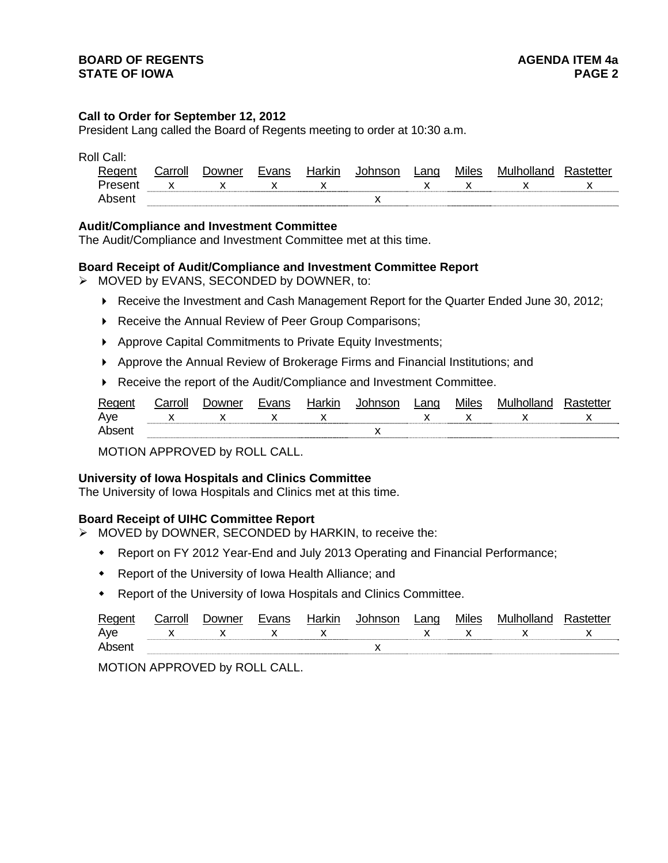#### **Call to Order for September 12, 2012**

President Lang called the Board of Regents meeting to order at 10:30 a.m.

Roll Call:

| Reger  | `arron | $\cdots$<br>ו שו | 17 I V<br>KIL. | $\sim$ | $\sim$<br>⊷ | Miles | – M⊔‼* |  |
|--------|--------|------------------|----------------|--------|-------------|-------|--------|--|
| Preser |        |                  |                |        |             |       |        |  |
| Abs    |        |                  |                |        |             |       |        |  |

#### **Audit/Compliance and Investment Committee**

The Audit/Compliance and Investment Committee met at this time.

#### **Board Receipt of Audit/Compliance and Investment Committee Report**

- MOVED by EVANS, SECONDED by DOWNER, to:
	- ▶ Receive the Investment and Cash Management Report for the Quarter Ended June 30, 2012;
	- ▶ Receive the Annual Review of Peer Group Comparisons;
	- Approve Capital Commitments to Private Equity Investments;
	- Approve the Annual Review of Brokerage Firms and Financial Institutions; and
	- ▶ Receive the report of the Audit/Compliance and Investment Committee.

| Regent | `arroll      | ⊃owner | <b>Evans</b> | Harkır | ∟ano | <b>Miles</b> | MUID. |   |
|--------|--------------|--------|--------------|--------|------|--------------|-------|---|
| Ave    | $\mathbf{x}$ |        | $\mathsf{x}$ | x      |      | $\mathsf{X}$ |       | X |
| Ahsei  |              |        |              |        |      |              |       |   |

MOTION APPROVED by ROLL CALL.

#### **University of Iowa Hospitals and Clinics Committee**

The University of Iowa Hospitals and Clinics met at this time.

## **Board Receipt of UIHC Committee Report**

- > MOVED by DOWNER, SECONDED by HARKIN, to receive the:
	- Report on FY 2012 Year-End and July 2013 Operating and Financial Performance;
	- Report of the University of Iowa Health Alliance; and
	- Report of the University of Iowa Hospitals and Clinics Committee.

| Re  | `orro |     | . kır | ∟an∩ | villes |     |
|-----|-------|-----|-------|------|--------|-----|
| Ave |       | . . | . .   |      |        | . . |
| Ahs |       |     |       |      |        |     |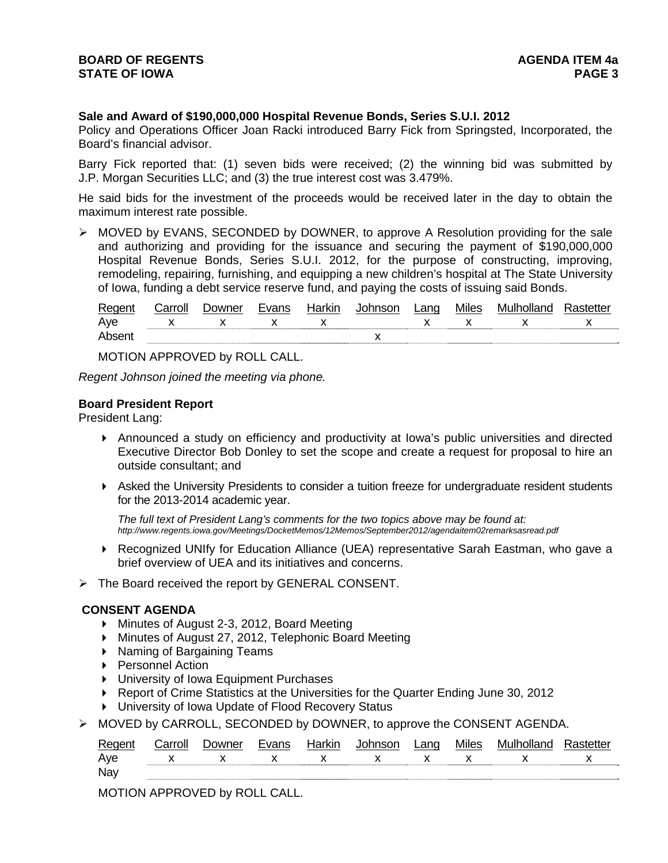## **Sale and Award of \$190,000,000 Hospital Revenue Bonds, Series S.U.I. 2012**

Policy and Operations Officer Joan Racki introduced Barry Fick from Springsted, Incorporated, the Board's financial advisor.

Barry Fick reported that: (1) seven bids were received; (2) the winning bid was submitted by J.P. Morgan Securities LLC; and (3) the true interest cost was 3.479%.

He said bids for the investment of the proceeds would be received later in the day to obtain the maximum interest rate possible.

 MOVED by EVANS, SECONDED by DOWNER, to approve A Resolution providing for the sale and authorizing and providing for the issuance and securing the payment of \$190,000,000 Hospital Revenue Bonds, Series S.U.I. 2012, for the purpose of constructing, improving, remodeling, repairing, furnishing, and equipping a new children's hospital at The State University of Iowa, funding a debt service reserve fund, and paying the costs of issuing said Bonds.

| Rec | $ -$ | owner<br>וווחו | Tuane. | Harkır |           | -anc | Miles | 1\/III |                          |
|-----|------|----------------|--------|--------|-----------|------|-------|--------|--------------------------|
| Aye | . .  |                | . .    |        |           |      |       |        | $\overline{\phantom{a}}$ |
| Δhς |      |                |        |        | $\lambda$ |      |       |        |                          |

MOTION APPROVED by ROLL CALL.

*Regent Johnson joined the meeting via phone.* 

#### **Board President Report**

President Lang:

- Announced a study on efficiency and productivity at Iowa's public universities and directed Executive Director Bob Donley to set the scope and create a request for proposal to hire an outside consultant; and
- Asked the University Presidents to consider a tuition freeze for undergraduate resident students for the 2013-2014 academic year.

*The full text of President Lang's comments for the two topics above may be found at: http://www.regents.iowa.gov/Meetings/DocketMemos/12Memos/September2012/agendaitem02remarksasread.pdf*

- ▶ Recognized UNIfy for Education Alliance (UEA) representative Sarah Eastman, who gave a brief overview of UEA and its initiatives and concerns.
- $\triangleright$  The Board received the report by GENERAL CONSENT.

## **CONSENT AGENDA**

- Minutes of August 2-3, 2012, Board Meeting
- Minutes of August 27, 2012, Telephonic Board Meeting
- ▶ Naming of Bargaining Teams
- ▶ Personnel Action
- University of Iowa Equipment Purchases
- ▶ Report of Crime Statistics at the Universities for the Quarter Ending June 30, 2012
- University of Iowa Update of Flood Recovery Status
- $\triangleright$  MOVED by CARROLL, SECONDED by DOWNER, to approve the CONSENT AGENDA.

| Regent | Carroll | Downer | Evans | Harkin | . Inhnsnn | Lang | <b>Miles</b> | Mulholland | etter |
|--------|---------|--------|-------|--------|-----------|------|--------------|------------|-------|
| Aye    |         |        |       |        |           |      |              |            |       |
| Nay    |         |        |       |        |           |      |              |            |       |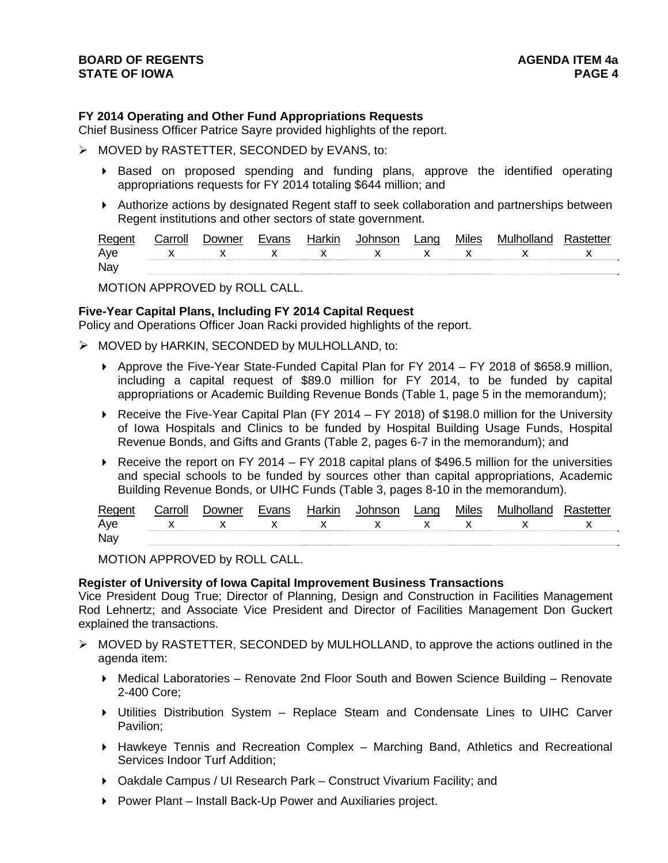## **FY 2014 Operating and Other Fund Appropriations Requests**

Chief Business Officer Patrice Sayre provided highlights of the report.

- > MOVED by RASTETTER, SECONDED by EVANS, to:
	- Based on proposed spending and funding plans, approve the identified operating appropriations requests for FY 2014 totaling \$644 million; and
	- Authorize actions by designated Regent staff to seek collaboration and partnerships between Regent institutions and other sectors of state government.

| Regen | Carroll | <i>D</i> owner | Evane | Harkır | _ano | <b>Miles</b> | :tte |
|-------|---------|----------------|-------|--------|------|--------------|------|
| Ave   |         |                |       |        |      |              |      |
| Nay   |         |                |       |        |      |              |      |

MOTION APPROVED by ROLL CALL.

## **Five-Year Capital Plans, Including FY 2014 Capital Request**

Policy and Operations Officer Joan Racki provided highlights of the report.

- MOVED by HARKIN, SECONDED by MULHOLLAND, to:
	- $\triangleright$  Approve the Five-Year State-Funded Capital Plan for FY 2014 FY 2018 of \$658.9 million, including a capital request of \$89.0 million for FY 2014, to be funded by capital appropriations or Academic Building Revenue Bonds (Table 1, page 5 in the memorandum);
	- ▶ Receive the Five-Year Capital Plan (FY 2014 FY 2018) of \$198.0 million for the University of Iowa Hospitals and Clinics to be funded by Hospital Building Usage Funds, Hospital Revenue Bonds, and Gifts and Grants (Table 2, pages 6-7 in the memorandum); and
	- Receive the report on FY 2014 FY 2018 capital plans of \$496.5 million for the universities and special schools to be funded by sources other than capital appropriations, Academic Building Revenue Bonds, or UIHC Funds (Table 3, pages 8-10 in the memorandum).

| Regen | $\sim$ | <b>JOMINAR</b> | 1000 | Harkır | ,nnoon | _ano | Miles | - Mult |     |
|-------|--------|----------------|------|--------|--------|------|-------|--------|-----|
| Ave   |        |                |      |        |        |      |       |        | . . |
| Nay   |        |                |      |        |        |      |       |        |     |

MOTION APPROVED by ROLL CALL.

#### **Register of University of Iowa Capital Improvement Business Transactions**

Vice President Doug True; Director of Planning, Design and Construction in Facilities Management Rod Lehnertz; and Associate Vice President and Director of Facilities Management Don Guckert explained the transactions.

- $\triangleright$  MOVED by RASTETTER, SECONDED by MULHOLLAND, to approve the actions outlined in the agenda item:
	- ▶ Medical Laboratories Renovate 2nd Floor South and Bowen Science Building Renovate 2-400 Core;
	- Utilities Distribution System Replace Steam and Condensate Lines to UIHC Carver Pavilion;
	- $\blacktriangleright$  Hawkeye Tennis and Recreation Complex Marching Band, Athletics and Recreational Services Indoor Turf Addition;
	- Oakdale Campus / UI Research Park Construct Vivarium Facility; and
	- ▶ Power Plant Install Back-Up Power and Auxiliaries project.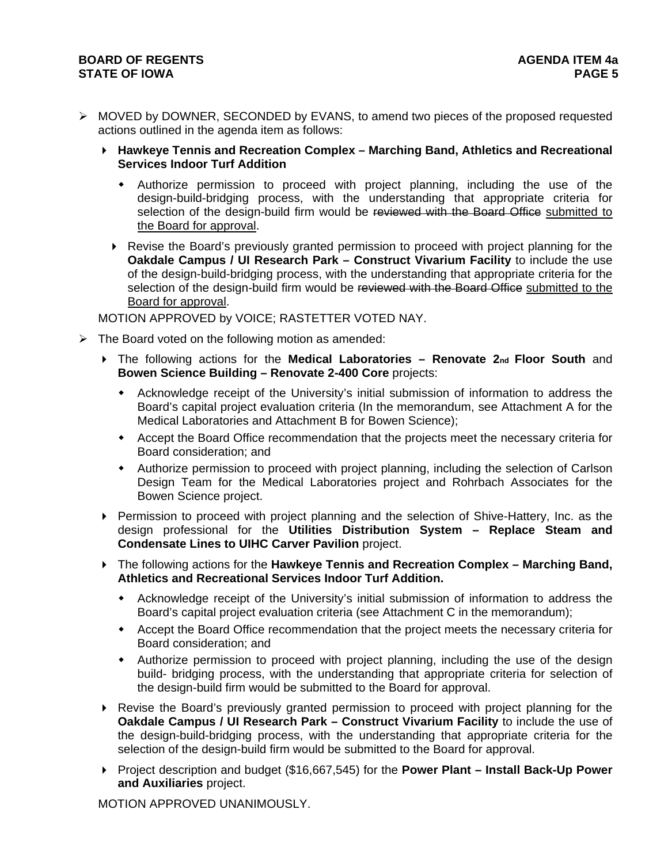## **BOARD OF REGENTS AGENER AGENERAL LIMIT CONTROL STATE OF IOWA** PAGE 5

- $\triangleright$  MOVED by DOWNER, SECONDED by EVANS, to amend two pieces of the proposed requested actions outlined in the agenda item as follows:
	- **Hawkeye Tennis and Recreation Complex Marching Band, Athletics and Recreational Services Indoor Turf Addition** 
		- Authorize permission to proceed with project planning, including the use of the design-build-bridging process, with the understanding that appropriate criteria for selection of the design-build firm would be reviewed with the Board Office submitted to the Board for approval.
		- Revise the Board's previously granted permission to proceed with project planning for the **Oakdale Campus / UI Research Park – Construct Vivarium Facility** to include the use of the design-build-bridging process, with the understanding that appropriate criteria for the selection of the design-build firm would be reviewed with the Board Office submitted to the Board for approval.

MOTION APPROVED by VOICE; RASTETTER VOTED NAY.

- $\triangleright$  The Board voted on the following motion as amended:
	- The following actions for the **Medical Laboratories Renovate 2nd Floor South** and **Bowen Science Building – Renovate 2-400 Core** projects:
		- Acknowledge receipt of the University's initial submission of information to address the Board's capital project evaluation criteria (In the memorandum, see Attachment A for the Medical Laboratories and Attachment B for Bowen Science);
		- Accept the Board Office recommendation that the projects meet the necessary criteria for Board consideration; and
		- Authorize permission to proceed with project planning, including the selection of Carlson Design Team for the Medical Laboratories project and Rohrbach Associates for the Bowen Science project.
	- Permission to proceed with project planning and the selection of Shive-Hattery, Inc. as the design professional for the **Utilities Distribution System – Replace Steam and Condensate Lines to UIHC Carver Pavilion** project.
	- The following actions for the **Hawkeye Tennis and Recreation Complex Marching Band, Athletics and Recreational Services Indoor Turf Addition.** 
		- Acknowledge receipt of the University's initial submission of information to address the Board's capital project evaluation criteria (see Attachment C in the memorandum);
		- Accept the Board Office recommendation that the project meets the necessary criteria for Board consideration; and
		- Authorize permission to proceed with project planning, including the use of the design build- bridging process, with the understanding that appropriate criteria for selection of the design-build firm would be submitted to the Board for approval.
	- Revise the Board's previously granted permission to proceed with project planning for the **Oakdale Campus / UI Research Park – Construct Vivarium Facility** to include the use of the design-build-bridging process, with the understanding that appropriate criteria for the selection of the design-build firm would be submitted to the Board for approval.
	- ▶ Project description and budget (\$16,667,545) for the **Power Plant Install Back-Up Power and Auxiliaries** project.

MOTION APPROVED UNANIMOUSLY.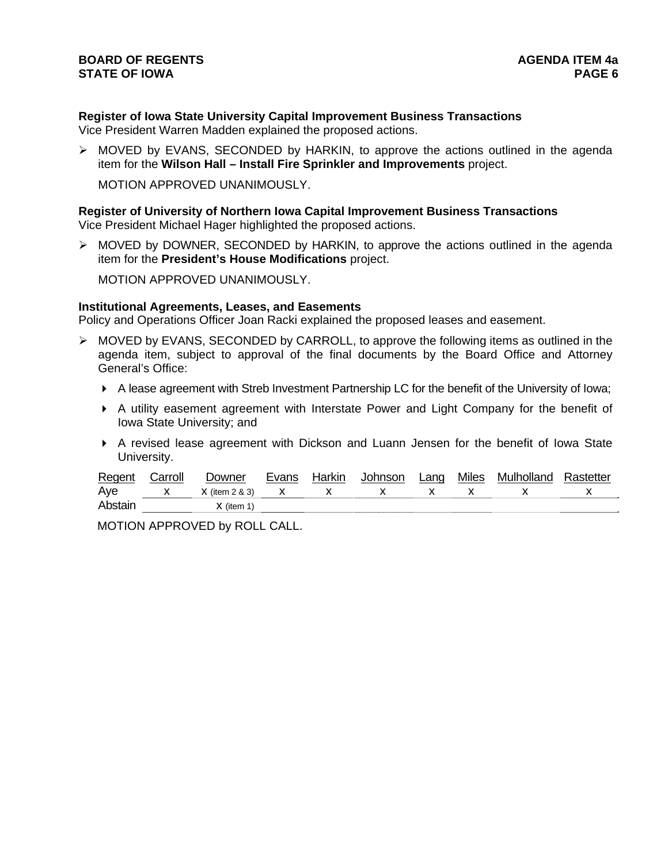# **Register of Iowa State University Capital Improvement Business Transactions**

Vice President Warren Madden explained the proposed actions.

 $\triangleright$  MOVED by EVANS, SECONDED by HARKIN, to approve the actions outlined in the agenda item for the **Wilson Hall – Install Fire Sprinkler and Improvements** project.

MOTION APPROVED UNANIMOUSLY.

#### **Register of University of Northern Iowa Capital Improvement Business Transactions** Vice President Michael Hager highlighted the proposed actions.

 MOVED by DOWNER, SECONDED by HARKIN, to approve the actions outlined in the agenda item for the **President's House Modifications** project.

MOTION APPROVED UNANIMOUSLY.

## **Institutional Agreements, Leases, and Easements**

Policy and Operations Officer Joan Racki explained the proposed leases and easement.

- $\triangleright$  MOVED by EVANS, SECONDED by CARROLL, to approve the following items as outlined in the agenda item, subject to approval of the final documents by the Board Office and Attorney General's Office:
	- A lease agreement with Streb Investment Partnership LC for the benefit of the University of Iowa;
	- A utility easement agreement with Interstate Power and Light Company for the benefit of Iowa State University; and
	- A revised lease agreement with Dickson and Luann Jensen for the benefit of Iowa State University.

| Regent   | شarroll | <i>D</i> owner   | Evans | Harkın | <b>Johnson</b> | Lang | <b>Miles</b> | Mulholland | Rastetter |
|----------|---------|------------------|-------|--------|----------------|------|--------------|------------|-----------|
| Aye      |         | $X$ (item 2 & 3) |       |        |                |      |              |            |           |
| Abstair. |         | Y (item 1,       |       |        |                |      |              |            |           |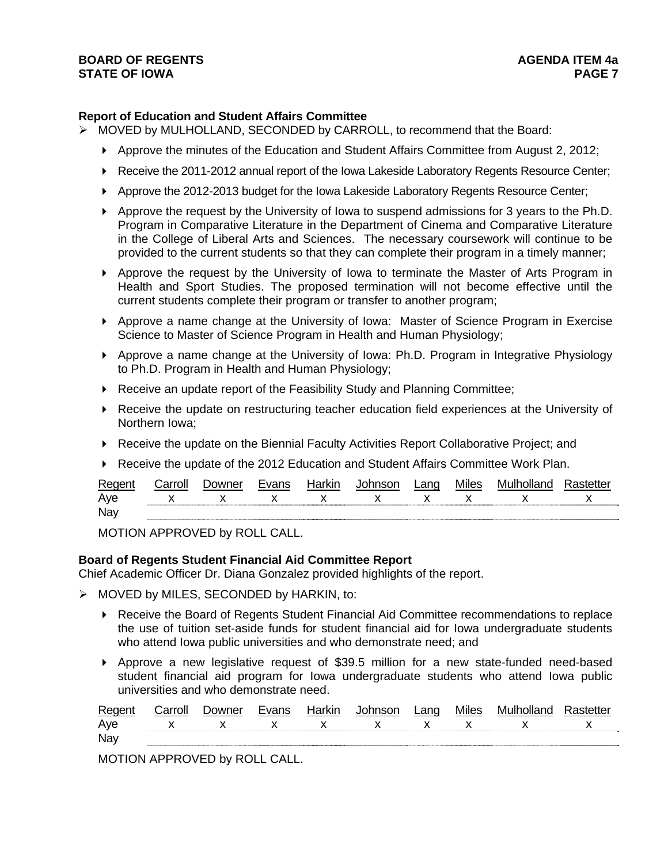## **BOARD OF REGENTS** AGENERAL BOARD OF REGENTS **STATE OF IOWA** PAGE 7

## **Report of Education and Student Affairs Committee**

- $\triangleright$  MOVED by MULHOLLAND, SECONDED by CARROLL, to recommend that the Board:
	- Approve the minutes of the Education and Student Affairs Committee from August 2, 2012;
	- ▶ Receive the 2011-2012 annual report of the Iowa Lakeside Laboratory Regents Resource Center;
	- Approve the 2012-2013 budget for the Iowa Lakeside Laboratory Regents Resource Center;
	- Approve the request by the University of Iowa to suspend admissions for 3 years to the Ph.D. Program in Comparative Literature in the Department of Cinema and Comparative Literature in the College of Liberal Arts and Sciences. The necessary coursework will continue to be provided to the current students so that they can complete their program in a timely manner;
	- Approve the request by the University of Iowa to terminate the Master of Arts Program in Health and Sport Studies. The proposed termination will not become effective until the current students complete their program or transfer to another program;
	- Approve a name change at the University of Iowa: Master of Science Program in Exercise Science to Master of Science Program in Health and Human Physiology;
	- Approve a name change at the University of Iowa: Ph.D. Program in Integrative Physiology to Ph.D. Program in Health and Human Physiology;
	- ▶ Receive an update report of the Feasibility Study and Planning Committee;
	- Receive the update on restructuring teacher education field experiences at the University of Northern Iowa;
	- Receive the update on the Biennial Faculty Activities Report Collaborative Project; and
	- Receive the update of the 2012 Education and Student Affairs Committee Work Plan.

| Regent | `arrolı | . )∩wner | Evane | Harkın       | Johnson      | Land | <b>Miles</b> | Mulholland |  |
|--------|---------|----------|-------|--------------|--------------|------|--------------|------------|--|
| Aye    |         |          |       | $\mathsf{X}$ | $\mathbf{x}$ |      |              |            |  |
| Nay    |         |          |       |              |              |      |              |            |  |

MOTION APPROVED by ROLL CALL.

#### **Board of Regents Student Financial Aid Committee Report**

Chief Academic Officer Dr. Diana Gonzalez provided highlights of the report.

- MOVED by MILES, SECONDED by HARKIN, to:
	- Receive the Board of Regents Student Financial Aid Committee recommendations to replace the use of tuition set-aside funds for student financial aid for Iowa undergraduate students who attend Iowa public universities and who demonstrate need; and
	- Approve a new legislative request of \$39.5 million for a new state-funded need-based student financial aid program for Iowa undergraduate students who attend Iowa public universities and who demonstrate need.

| Regent | Carrol∟ | Jowner | <b>Evans</b> | Harkir | Iohncon | Lano | <b>Miles</b> | Mulholland |                          |
|--------|---------|--------|--------------|--------|---------|------|--------------|------------|--------------------------|
| Aye    |         |        |              |        | ,,      |      |              |            | $\overline{\phantom{a}}$ |
| Nay    |         |        |              |        |         |      |              |            |                          |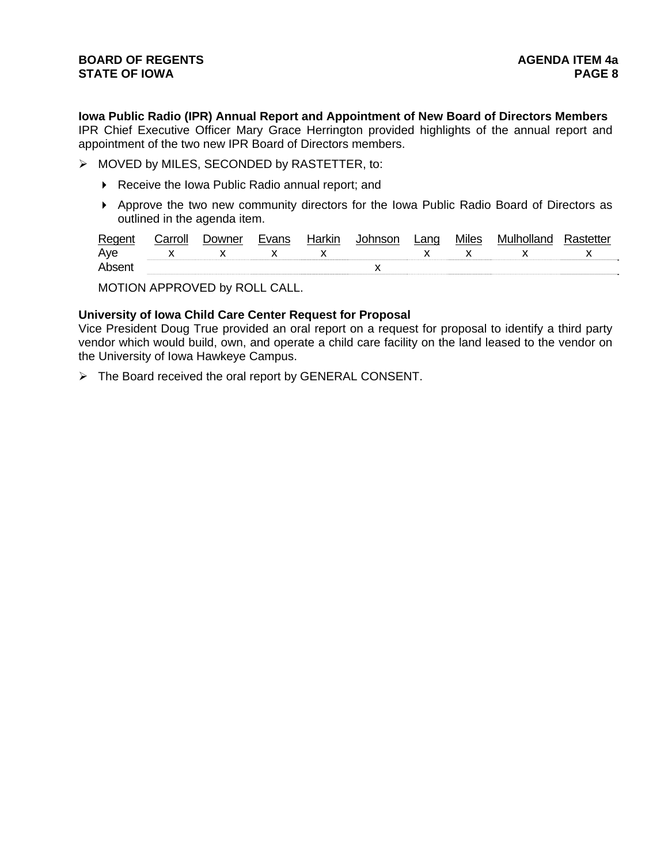**Iowa Public Radio (IPR) Annual Report and Appointment of New Board of Directors Members**  IPR Chief Executive Officer Mary Grace Herrington provided highlights of the annual report and appointment of the two new IPR Board of Directors members.

- > MOVED by MILES, SECONDED by RASTETTER, to:
	- ▶ Receive the Iowa Public Radio annual report; and
	- Approve the two new community directors for the Iowa Public Radio Board of Directors as outlined in the agenda item.

| Regen  | `arrolı | Evane | Harkin | ∟ano | <b>Miles</b> | n Mulhollang |  |
|--------|---------|-------|--------|------|--------------|--------------|--|
| Ave    |         |       |        |      |              |              |  |
| Absent |         |       |        |      |              |              |  |

MOTION APPROVED by ROLL CALL.

## **University of Iowa Child Care Center Request for Proposal**

Vice President Doug True provided an oral report on a request for proposal to identify a third party vendor which would build, own, and operate a child care facility on the land leased to the vendor on the University of Iowa Hawkeye Campus.

> The Board received the oral report by GENERAL CONSENT.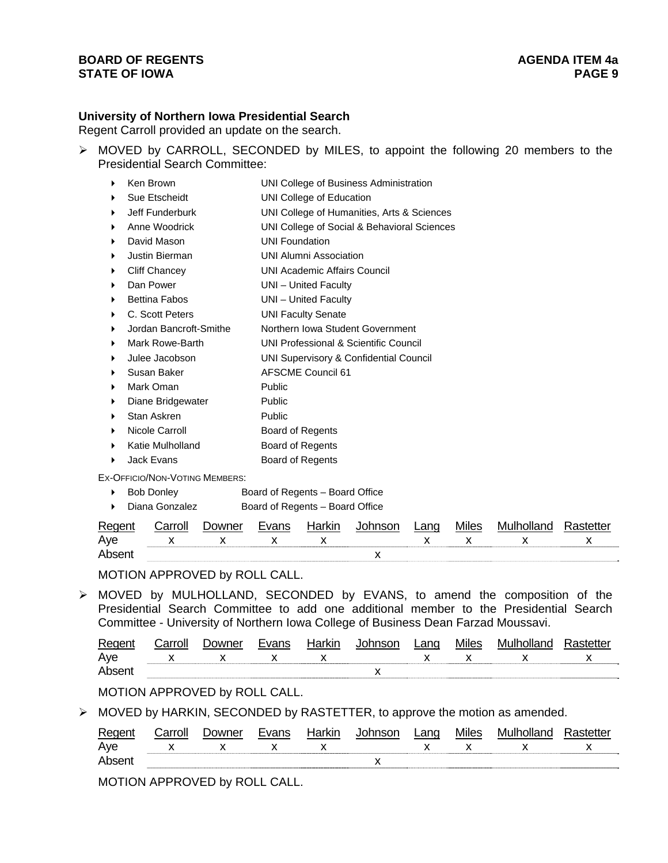## **BOARD OF REGENTS** AGENERAL MEDICINE AGENERAL MEDICINE AGENERAL MEDICINE AGENERAL MEDICINE AGENERAL MEDICINE AGENERAL MEDICINE AGENERAL MEDICINE AGENERAL MEDICINE AGENERAL MEDICINE AGENERAL MEDICINE AGENERAL MEDICINE AGENE **STATE OF IOWA PAGE 9**

## **University of Northern Iowa Presidential Search**

Regent Carroll provided an update on the search.

 MOVED by CARROLL, SECONDED by MILES, to appoint the following 20 members to the Presidential Search Committee:

| ▶ | Ken Brown              | UNI College of Business Administration      |
|---|------------------------|---------------------------------------------|
| ▶ | Sue Etscheidt          | UNI College of Education                    |
| ▶ | Jeff Funderburk        | UNI College of Humanities, Arts & Sciences  |
| ▶ | Anne Woodrick          | UNI College of Social & Behavioral Sciences |
| ▶ | David Mason            | <b>UNI Foundation</b>                       |
| ▶ | Justin Bierman         | <b>UNI Alumni Association</b>               |
| ▶ | Cliff Chancey          | UNI Academic Affairs Council                |
| ▶ | Dan Power              | UNI - United Faculty                        |
| ▶ | <b>Bettina Fabos</b>   | UNI - United Faculty                        |
| ▶ | C. Scott Peters        | <b>UNI Faculty Senate</b>                   |
| ▶ | Jordan Bancroft-Smithe | Northern Iowa Student Government            |
| ▶ | Mark Rowe-Barth        | UNI Professional & Scientific Council       |
| ▶ | Julee Jacobson         | UNI Supervisory & Confidential Council      |
| ▶ | Susan Baker            | <b>AFSCME Council 61</b>                    |
| ▶ | Mark Oman              | Public                                      |
| ▶ | Diane Bridgewater      | Public                                      |
| ▶ | Stan Askren            | Public                                      |
| ▶ | Nicole Carroll         | Board of Regents                            |
| ▶ | Katie Mulholland       | Board of Regents                            |
| ▶ | Jack Evans             | Board of Regents                            |

EX-OFFICIO/NON-VOTING MEMBERS:

▶ Bob Donley Board of Regents – Board Office

▶ Diana Gonzalez Board of Regents – Board Office

| Regen | `arrolı  | . )∩wner | Evanc | Jorlan | $  -$ | ano | NЛ |  |
|-------|----------|----------|-------|--------|-------|-----|----|--|
| Ave   | v<br>. . |          |       | х      |       |     |    |  |
| Ahse  |          |          |       |        |       |     |    |  |

MOTION APPROVED by ROLL CALL.

 MOVED by MULHOLLAND, SECONDED by EVANS, to amend the composition of the Presidential Search Committee to add one additional member to the Presidential Search Committee - University of Northern Iowa College of Business Dean Farzad Moussavi.

| Regent | Carroll | Downer      | Evans | Harkin | Johnson                       | Lang | Miles | Mulholland | Rastetter |
|--------|---------|-------------|-------|--------|-------------------------------|------|-------|------------|-----------|
| Aye    |         | $\mathbf x$ |       |        | $\mathsf{x}$ and $\mathsf{x}$ |      |       |            |           |
| Absent |         |             |       |        |                               |      |       |            |           |

MOTION APPROVED by ROLL CALL.

MOVED by HARKIN, SECONDED by RASTETTER, to approve the motion as amended.

|     | " | )∩wn≏r | مساحصا<br>NIL | noon | ∟ano | Miles |                          |
|-----|---|--------|---------------|------|------|-------|--------------------------|
| Ave |   |        |               |      |      |       | $\overline{\phantom{a}}$ |
|     |   |        |               | . .  |      |       |                          |